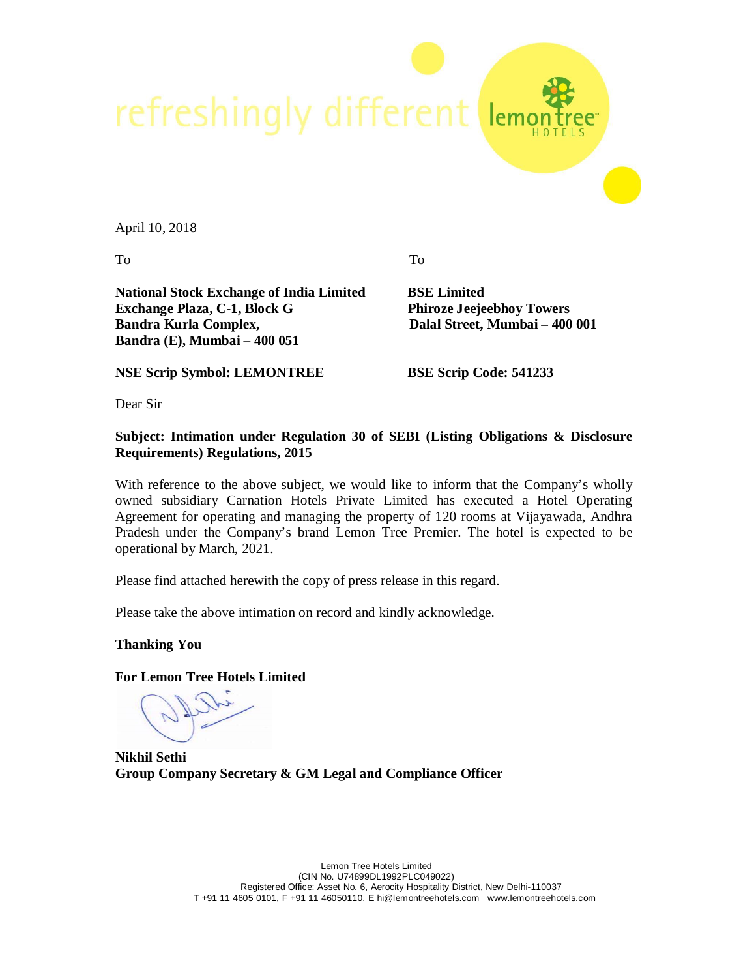

April 10, 2018

To To

**National Stock Exchange of India Limited BSE Limited Exchange Plaza, C-1, Block G Phiroze Jeejeebhoy Towers Bandra Kurla Complex, Dalal Street, Mumbai – 400 001 Bandra (E), Mumbai – 400 051** 

**NSE Scrip Symbol: LEMONTREE BSE Scrip Code: 541233**

Dear Sir

**Subject: Intimation under Regulation 30 of SEBI (Listing Obligations & Disclosure Requirements) Regulations, 2015**

With reference to the above subject, we would like to inform that the Company's wholly owned subsidiary Carnation Hotels Private Limited has executed a Hotel Operating Agreement for operating and managing the property of 120 rooms at Vijayawada, Andhra Pradesh under the Company's brand Lemon Tree Premier. The hotel is expected to be operational by March, 2021.

Please find attached herewith the copy of press release in this regard.

Please take the above intimation on record and kindly acknowledge.

**Thanking You**

**For Lemon Tree Hotels Limited**

**Nikhil Sethi Group Company Secretary & GM Legal and Compliance Officer**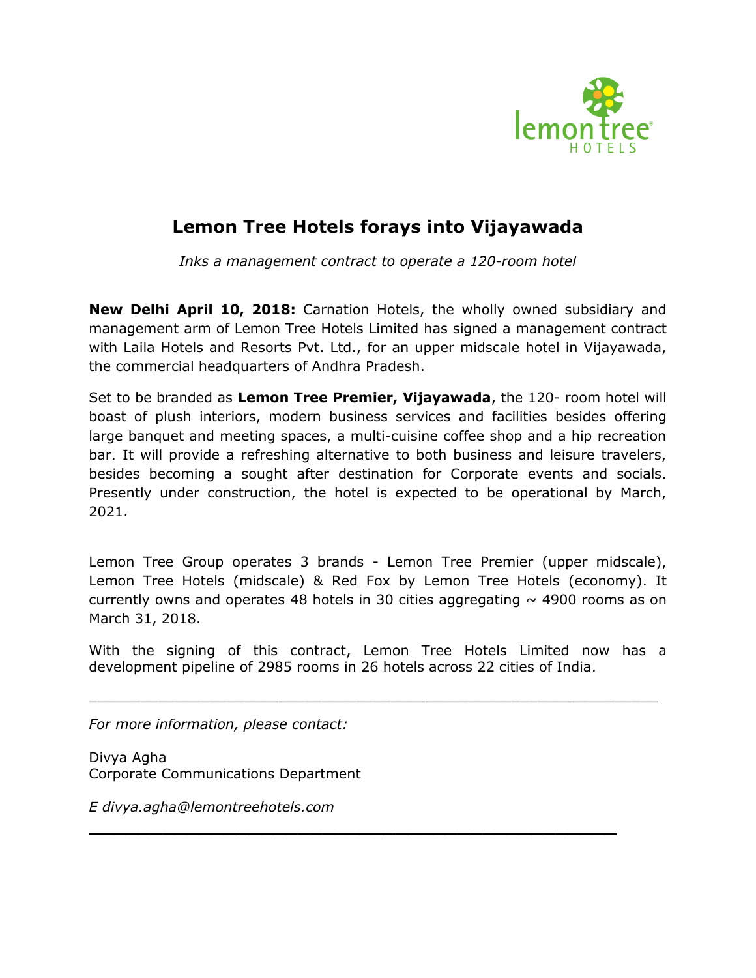

## **Lemon Tree Hotels forays into Vijayawada**

*Inks a management contract to operate a 120-room hotel*

**New Delhi April 10, 2018:** Carnation Hotels, the wholly owned subsidiary and management arm of Lemon Tree Hotels Limited has signed a management contract with Laila Hotels and Resorts Pvt. Ltd., for an upper midscale hotel in Vijayawada, the commercial headquarters of Andhra Pradesh.

Set to be branded as **Lemon Tree Premier, Vijayawada**, the 120- room hotel will boast of plush interiors, modern business services and facilities besides offering large banquet and meeting spaces, a multi-cuisine coffee shop and a hip recreation bar. It will provide a refreshing alternative to both business and leisure travelers, besides becoming a sought after destination for Corporate events and socials. Presently under construction, the hotel is expected to be operational by March, 2021.

Lemon Tree Group operates 3 brands - Lemon Tree Premier (upper midscale), Lemon Tree Hotels (midscale) & Red Fox by Lemon Tree Hotels (economy). It currently owns and operates 48 hotels in 30 cities aggregating  $\sim$  4900 rooms as on March 31, 2018.

With the signing of this contract, Lemon Tree Hotels Limited now has a development pipeline of 2985 rooms in 26 hotels across 22 cities of India.

\_\_\_\_\_\_\_\_\_\_\_\_\_\_\_\_\_\_\_\_\_\_\_\_\_\_\_\_\_\_\_\_\_\_\_\_\_\_\_\_\_\_\_\_\_\_\_\_\_\_\_\_\_\_\_\_\_\_\_\_\_\_\_\_\_\_

**\_\_\_\_\_\_\_\_\_\_\_\_\_\_\_\_\_\_\_\_\_\_\_\_\_\_\_\_\_\_\_\_\_\_\_\_\_\_\_\_\_\_\_**

*For more information, please contact:*

Divya Agha Corporate Communications Department

*E divya.agha@lemontreehotels.com*